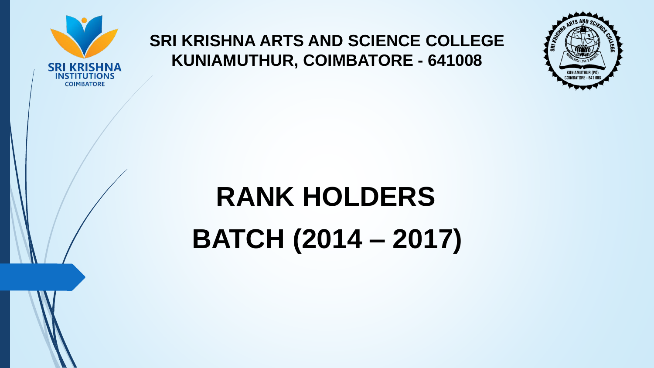

## **SRI KRISHNA ARTS AND SCIENCE COLLEGE KUNIAMUTHUR, COIMBATORE - 641008**



## **RANK HOLDERS**

**BATCH (2014 – 2017)**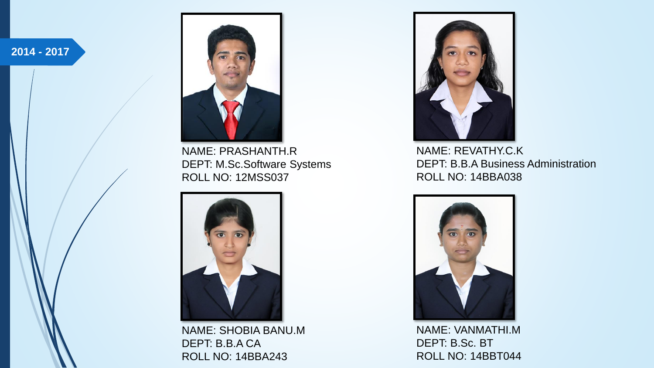**2014 - 2017**



NAME: PRASHANTH.R DEPT: M.Sc.Software Systems ROLL NO: 12MSS037



NAME: SHOBIA BANU.M DEPT: B.B.A CA ROLL NO: 14BBA243



NAME: REVATHY.C.K DEPT: B.B.A Business Administration ROLL NO: 14BBA038



NAME: VANMATHI.M DEPT: B.Sc. BT ROLL NO: 14BBT044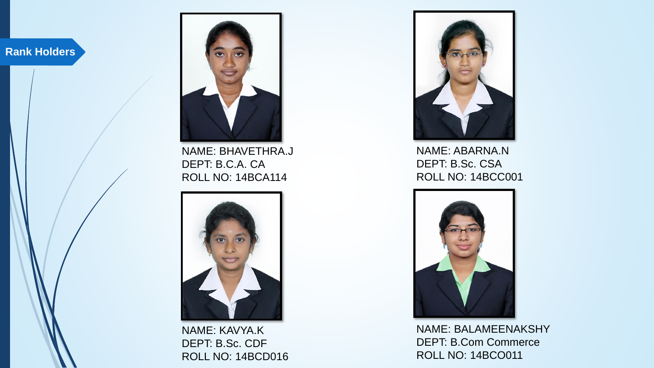

NAME: BHAVETHRA.J DEPT: B.C.A. CA ROLL NO: 14BCA114



NAME: KAVYA.K DEPT: B.Sc. CDF ROLL NO: 14BCD016



NAME: ABARNA.N DEPT: B.Sc. CSA ROLL NO: 14BCC001



NAME: BALAMEENAKSHY DEPT: B.Com Commerce ROLL NO: 14BCO011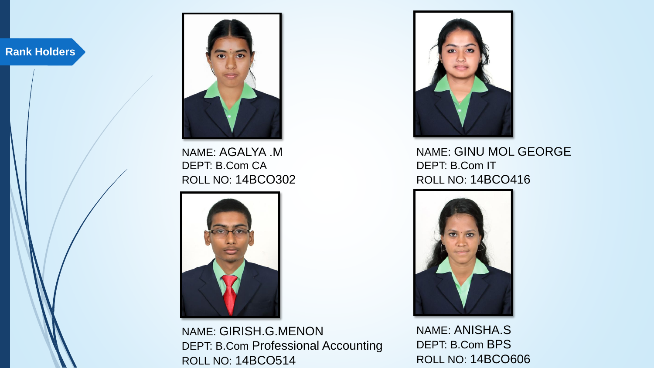

NAME: AGALYA .M DEPT: B.Com CA ROLL NO: 14BCO302



NAME: GIRISH.G.MENON DEPT: B.Com Professional Accounting ROLL NO: 14BCO514



NAME: GINU MOL GEORGE DEPT: B.Com IT ROLL NO: 14BCO416



NAME: ANISHA.S DEPT: B.Com BPS ROLL NO: 14BCO606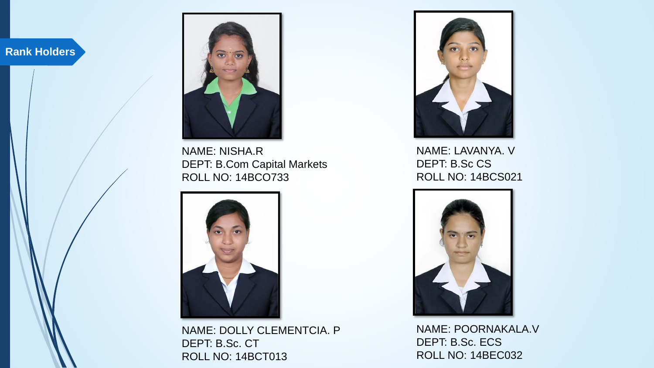

NAME: NISHA.R DEPT: B.Com Capital Markets ROLL NO: 14BCO733



NAME: DOLLY CLEMENTCIA. P DEPT: B.Sc. CT ROLL NO: 14BCT013



NAME: LAVANYA. V DEPT: B.Sc CS ROLL NO: 14BCS021



NAME: POORNAKALA.V DEPT: B.Sc. ECS ROLL NO: 14BEC032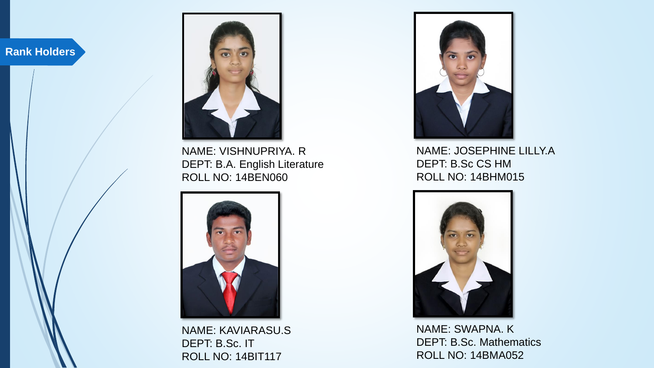

NAME: VISHNUPRIYA. R DEPT: B.A. English Literature ROLL NO: 14BEN060



NAME: KAVIARASU.S DEPT: B.Sc. IT ROLL NO: 14BIT117



NAME: JOSEPHINE LILLY.A DEPT: B.Sc CS HM ROLL NO: 14BHM015



NAME: SWAPNA. K DEPT: B.Sc. Mathematics ROLL NO: 14BMA052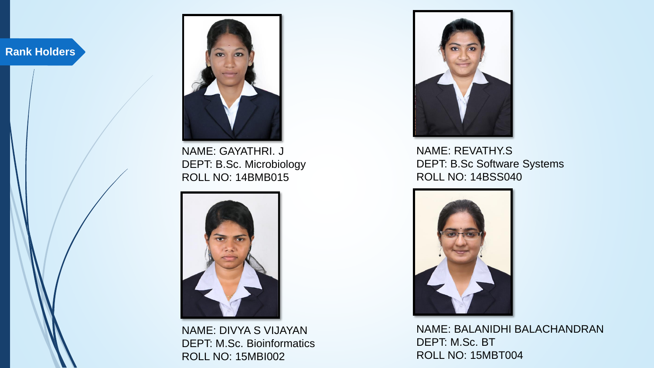

NAME: GAYATHRI. J DEPT: B.Sc. Microbiology ROLL NO: 14BMB015



NAME: DIVYA S VIJAYAN DEPT: M.Sc. Bioinformatics ROLL NO: 15MBI002



NAME: REVATHY.S DEPT: B.Sc Software Systems ROLL NO: 14BSS040



NAME: BALANIDHI BALACHANDRAN DEPT: M.Sc. BT ROLL NO: 15MBT004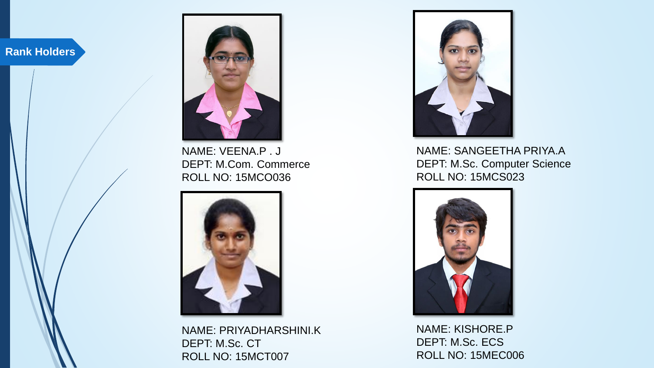

NAME: VEENA.P . J DEPT: M.Com. Commerce ROLL NO: 15MCO036



NAME: PRIYADHARSHINI.K DEPT: M.Sc. CT ROLL NO: 15MCT007



NAME: SANGEETHA PRIYA.A DEPT: M.Sc. Computer Science ROLL NO: 15MCS023



NAME: KISHORE.P DEPT: M.Sc. ECS ROLL NO: 15MEC006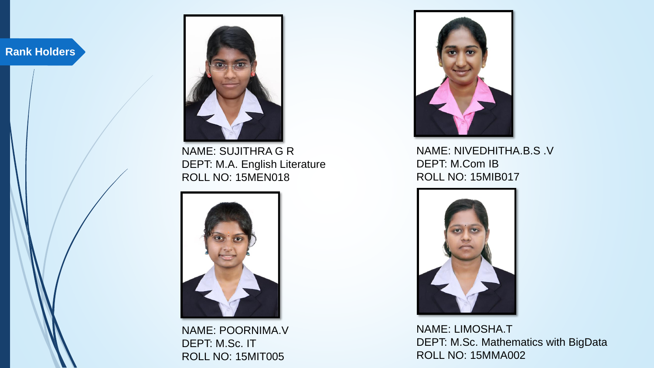

NAME: SUJITHRA G R DEPT: M.A. English Literature ROLL NO: 15MEN018



NAME: POORNIMA.V DEPT: M.Sc. IT ROLL NO: 15MIT005



NAME: NIVEDHITHA.B.S .V DEPT: M.Com IB ROLL NO: 15MIB017



NAME: LIMOSHA.T DEPT: M.Sc. Mathematics with BigData ROLL NO: 15MMA002